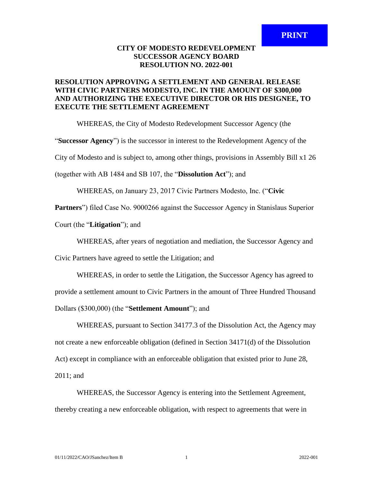## **CITY OF MODESTO REDEVELOPMENT SUCCESSOR AGENCY BOARD RESOLUTION NO. 2022-001**

## **RESOLUTION APPROVING A SETTLEMENT AND GENERAL RELEASE WITH CIVIC PARTNERS MODESTO, INC. IN THE AMOUNT OF \$300,000 AND AUTHORIZING THE EXECUTIVE DIRECTOR OR HIS DESIGNEE, TO EXECUTE THE SETTLEMENT AGREEMENT**

WHEREAS, the City of Modesto Redevelopment Successor Agency (the

"**Successor Agency**") is the successor in interest to the Redevelopment Agency of the

City of Modesto and is subject to, among other things, provisions in Assembly Bill x1 26

(together with AB 1484 and SB 107, the "**Dissolution Act**"); and

WHEREAS, on January 23, 2017 Civic Partners Modesto, Inc. ("**Civic** 

**Partners**") filed Case No. 9000266 against the Successor Agency in Stanislaus Superior

Court (the "**Litigation**"); and

WHEREAS, after years of negotiation and mediation, the Successor Agency and

Civic Partners have agreed to settle the Litigation; and

WHEREAS, in order to settle the Litigation, the Successor Agency has agreed to provide a settlement amount to Civic Partners in the amount of Three Hundred Thousand Dollars (\$300,000) (the "**Settlement Amount**"); and

WHEREAS, pursuant to Section 34177.3 of the Dissolution Act, the Agency may not create a new enforceable obligation (defined in Section 34171(d) of the Dissolution Act) except in compliance with an enforceable obligation that existed prior to June 28, 2011; and

WHEREAS, the Successor Agency is entering into the Settlement Agreement, thereby creating a new enforceable obligation, with respect to agreements that were in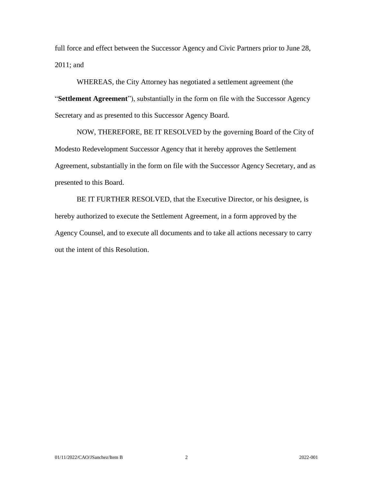full force and effect between the Successor Agency and Civic Partners prior to June 28, 2011; and

WHEREAS, the City Attorney has negotiated a settlement agreement (the "**Settlement Agreement**"), substantially in the form on file with the Successor Agency Secretary and as presented to this Successor Agency Board.

NOW, THEREFORE, BE IT RESOLVED by the governing Board of the City of Modesto Redevelopment Successor Agency that it hereby approves the Settlement Agreement, substantially in the form on file with the Successor Agency Secretary, and as presented to this Board.

BE IT FURTHER RESOLVED, that the Executive Director, or his designee, is hereby authorized to execute the Settlement Agreement, in a form approved by the Agency Counsel, and to execute all documents and to take all actions necessary to carry out the intent of this Resolution.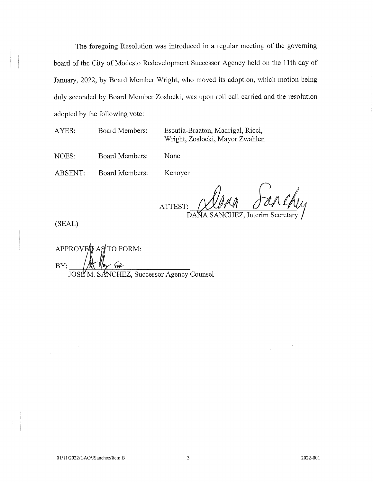The foregoing Resolution was introduced in a regular meeting of the governing board of the City of Modesto Redevelopment Successor Agency held on the 11th day of January, 2022, by Board Member Wright, who moved its adoption, which motion being duly seconded by Board Member Zoslocki, was upon roll call carried and the resolution adopted by the following vote:

AYES: **Board Members:**  Escutia-Braaton, Madrigal, Ricci, Wright, Zoslocki, Mayor Zwahlen

NOES: **Board Members:** None

ABSENT: **Board Members:** Kenoyer

ATTEST:

DANA SANCHEZ, Interim Secretary

(SEAL)

APPROVED AS TO FORM: BY: M. SANCHEZ, Successor Agency Counsel JOSE

2022-001

 $\boldsymbol{f}$ 

 $\label{eq:1} \frac{1}{N}\left(1-\frac{1}{N}\right) \left(1-\frac{1}{N}\right)$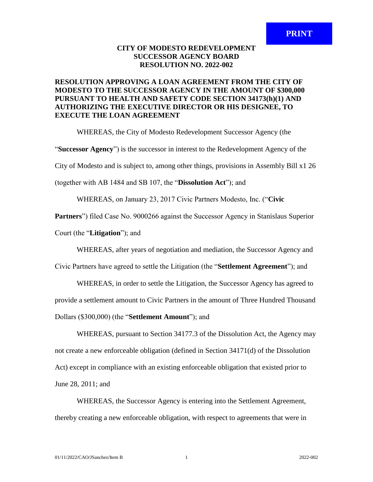## **CITY OF MODESTO REDEVELOPMENT SUCCESSOR AGENCY BOARD RESOLUTION NO. 2022-002**

## **RESOLUTION APPROVING A LOAN AGREEMENT FROM THE CITY OF MODESTO TO THE SUCCESSOR AGENCY IN THE AMOUNT OF \$300,000 PURSUANT TO HEALTH AND SAFETY CODE SECTION 34173(h)(1) AND AUTHORIZING THE EXECUTIVE DIRECTOR OR HIS DESIGNEE, TO EXECUTE THE LOAN AGREEMENT**

WHEREAS, the City of Modesto Redevelopment Successor Agency (the

"**Successor Agency**") is the successor in interest to the Redevelopment Agency of the

City of Modesto and is subject to, among other things, provisions in Assembly Bill x1 26

(together with AB 1484 and SB 107, the "**Dissolution Act**"); and

WHEREAS, on January 23, 2017 Civic Partners Modesto, Inc. ("**Civic** 

**Partners**") filed Case No. 9000266 against the Successor Agency in Stanislaus Superior

Court (the "**Litigation**"); and

WHEREAS, after years of negotiation and mediation, the Successor Agency and

Civic Partners have agreed to settle the Litigation (the "**Settlement Agreement**"); and

WHEREAS, in order to settle the Litigation, the Successor Agency has agreed to provide a settlement amount to Civic Partners in the amount of Three Hundred Thousand Dollars (\$300,000) (the "**Settlement Amount**"); and

WHEREAS, pursuant to Section 34177.3 of the Dissolution Act, the Agency may not create a new enforceable obligation (defined in Section 34171(d) of the Dissolution Act) except in compliance with an existing enforceable obligation that existed prior to June 28, 2011; and

WHEREAS, the Successor Agency is entering into the Settlement Agreement, thereby creating a new enforceable obligation, with respect to agreements that were in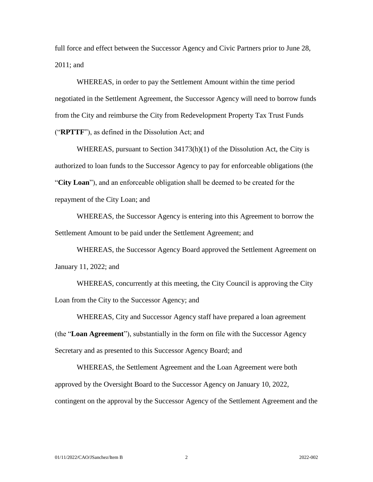full force and effect between the Successor Agency and Civic Partners prior to June 28, 2011; and

WHEREAS, in order to pay the Settlement Amount within the time period negotiated in the Settlement Agreement, the Successor Agency will need to borrow funds from the City and reimburse the City from Redevelopment Property Tax Trust Funds ("**RPTTF**"), as defined in the Dissolution Act; and

WHEREAS, pursuant to Section  $34173(h)(1)$  of the Dissolution Act, the City is authorized to loan funds to the Successor Agency to pay for enforceable obligations (the "**City Loan**"), and an enforceable obligation shall be deemed to be created for the repayment of the City Loan; and

WHEREAS, the Successor Agency is entering into this Agreement to borrow the Settlement Amount to be paid under the Settlement Agreement; and

WHEREAS, the Successor Agency Board approved the Settlement Agreement on January 11, 2022; and

WHEREAS, concurrently at this meeting, the City Council is approving the City Loan from the City to the Successor Agency; and

WHEREAS, City and Successor Agency staff have prepared a loan agreement (the "**Loan Agreement**"), substantially in the form on file with the Successor Agency Secretary and as presented to this Successor Agency Board; and

WHEREAS, the Settlement Agreement and the Loan Agreement were both approved by the Oversight Board to the Successor Agency on January 10, 2022, contingent on the approval by the Successor Agency of the Settlement Agreement and the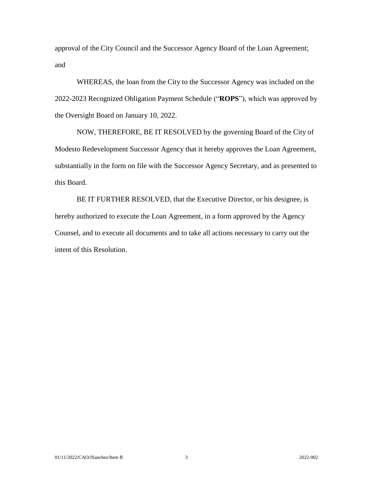approval of the City Council and the Successor Agency Board of the Loan Agreement; and

WHEREAS, the loan from the City to the Successor Agency was included on the 2022-2023 Recognized Obligation Payment Schedule ("**ROPS**"), which was approved by the Oversight Board on January 10, 2022.

NOW, THEREFORE, BE IT RESOLVED by the governing Board of the City of Modesto Redevelopment Successor Agency that it hereby approves the Loan Agreement, substantially in the form on file with the Successor Agency Secretary, and as presented to this Board.

BE IT FURTHER RESOLVED, that the Executive Director, or his designee, is hereby authorized to execute the Loan Agreement, in a form approved by the Agency Counsel, and to execute all documents and to take all actions necessary to carry out the intent of this Resolution.